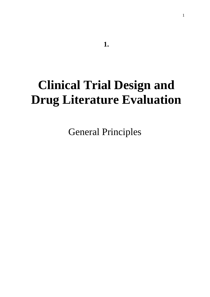# **Clinical Trial Design and Drug Literature Evaluation**

General Principles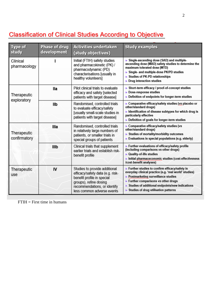# **Classification of Clinical Studies According to Objective**

| <b>Type of</b><br>study     | <b>Phase of drug</b><br>development | <b>Activities undertaken</b><br>(study objectives)                                                                                                                                      | <b>Study examples</b>                                                                                                                                                                                                                                                                                  |
|-----------------------------|-------------------------------------|-----------------------------------------------------------------------------------------------------------------------------------------------------------------------------------------|--------------------------------------------------------------------------------------------------------------------------------------------------------------------------------------------------------------------------------------------------------------------------------------------------------|
| Clinical<br>pharmacology    |                                     | Initial (FTIH) safety studies<br>and pharmacokinetic (PK) /<br>pharmacodynamic (PD)<br>characterisations [usually in<br>healthy volunteers]                                             | Single-ascending dose (SAD) and multiple-<br>ascending dose (MAD) safety studies to determine the<br>maximum tolerated dose (MTD)<br>Single- and multiple-dose PK/PD studies<br>Studies of PK-PD relationships<br>Drug interaction studies                                                             |
| Therapeutic<br>exploratory  | lla                                 | Pilot clinical trials to evaluate<br>efficacy and safety [selected<br>patients with target disease]                                                                                     | Short-term efficacy / proof-of-concept studies<br>Dose-response studies<br>Definition of endpoints for longer-term studies                                                                                                                                                                             |
|                             | llb                                 | Randomised, controlled trials<br>to evaluate efficacy/safety<br>[usually small-scale studies in<br>patients with target disease]                                                        | Comparative efficacy/safety studies (vs placebo or<br>other/standard drugs)<br>In Identification of disease subtypes for which drug is<br>particularly effective<br>Definition of goals for longer-term studies                                                                                        |
| Therapeutic<br>confirmatory | <b>Illa</b>                         | Randomised, controlled trials<br>in relatively large numbers of<br>patients, or smaller trials in<br>special groups of patients                                                         | Comparative efficacy/safety studies (vs<br>other/standard drugs)<br>Studies of mortality/morbidity outcomes<br>Evaluations in special populations (e.g. elderly)                                                                                                                                       |
|                             | <b>IIIb</b>                         | Clinical trials that supplement<br>earlier trials and establish risk-<br>benefit profile                                                                                                | Further evaluations of efficacy/safety profile<br>(including comparisons vs other drugs)<br>▶ Quality-of-life studies<br>Initial pharmaceconomic studies (cost-effectiveness<br>/cost-benefit analyses)                                                                                                |
| Therapeutic<br>use          | IV                                  | Studies to provide additional<br>efficacy/safety data (e.g. risk-<br>benefit profile in special<br>groups), refine dosing<br>recommendations, or identify<br>less common adverse events | Further studies to confirm efficacy/safety in<br>everyday clinical practice (e.g. 'real world' studies)<br>▶ Postmarketing surveillance studies<br>$\blacktriangleright$ Further comparisons vs other drugs<br>Studies of additional endpoints/new indications<br>Studies of drug utilisation patterns |

FTIH = First time in humans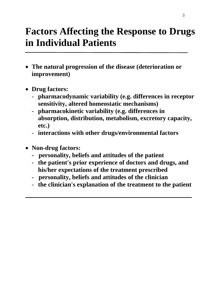# **Factors Affecting the Response to Drugs in Individual Patients**

- **The natural progression of the disease (deterioration or improvement)**
- **Drug factors:**
	- **pharmacodynamic variability (e.g. differences in receptor sensitivity, altered homeostatic mechanisms)**
	- **pharmacokinetic variability (e.g. differences in absorption, distribution, metabolism, excretory capacity, etc.)**
	- **interactions with other drugs/environmental factors**
- **Non-drug factors:**
	- **personality, beliefs and attitudes of the patient**
	- **the patient's prior experience of doctors and drugs, and his/her expectations of the treatment prescribed**
	- **personality, beliefs and attitudes of the clinician**
	- **the clinician's explanation of the treatment to the patient**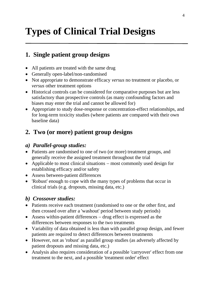# **Types of Clinical Trial Designs**

## **1. Single patient group designs**

- All patients are treated with the same drug
- Generally open-label/non-randomised
- Not appropriate to demonstrate efficacy *versus* no treatment or placebo, or *versus* other treatment options
- Historical controls can be considered for comparative purposes but are less satisfactory than prospective controls (as many confounding factors and biases may enter the trial and cannot be allowed for)
- Appropriate to study dose-response or concentration-effect relationships, and for long-term toxicity studies (where patients are compared with their own baseline data)

## **2. Two (or more) patient group designs**

### *a) Parallel-group studies:*

- Patients are randomised to one of two (or more) treatment groups, and generally receive the assigned treatment throughout the trial
- Applicable to most clinical situations − most commonly used design for establishing efficacy and/or safety
- Assess between-patient differences
- 'Robust' enough to cope with the many types of problems that occur in clinical trials (e.g. dropouts, missing data, etc.)

## *b) Crossover studies:*

- Patients receive each treatment (randomised to one or the other first, and then crossed over after a 'washout' period between study periods)
- Assess within-patient differences − drug effect is expressed as the differences between responses to the two treatments
- Variability of data obtained is less than with parallel group design, and fewer patients are required to detect differences between treatments
- However, not as 'robust' as parallel group studies (as adversely affected by patient dropouts and missing data, etc.)
- Analysis also requires consideration of a possible 'carryover' effect from one treatment to the next, and a possible 'treatment order' effect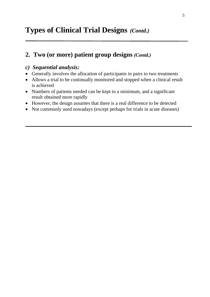# **Types of Clinical Trial Designs** *(Contd.)*

## **2. Two (or more) patient group designs** *(Contd.)*

### *c) Sequential analysis:*

- Generally involves the allocation of participants in pairs to two treatments
- Allows a trial to be continually monitored and stopped when a clinical result is achieved
- Numbers of patients needed can be kept to a minimum, and a significant result obtained more rapidly
- However, the design assumes that there is a real difference to be detected
- Not commonly used nowadays (except perhaps for trials in acute diseases)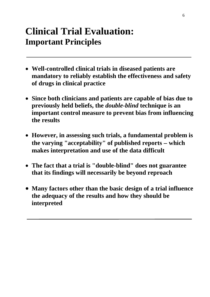# **Clinical Trial Evaluation: Important Principles**

- **Well-controlled clinical trials in diseased patients are mandatory to reliably establish the effectiveness and safety of drugs in clinical practice**
- **Since both clinicians and patients are capable of bias due to previously held beliefs, the** *double-blind* **technique is an important control measure to prevent bias from influencing the results**
- **However, in assessing such trials, a fundamental problem is the varying "acceptability" of published reports** − **which makes interpretation and use of the data difficult**
- **The fact that a trial is "double-blind" does not guarantee that its findings will necessarily be beyond reproach**
- **Many factors other than the basic design of a trial influence the adequacy of the results and how they should be interpreted**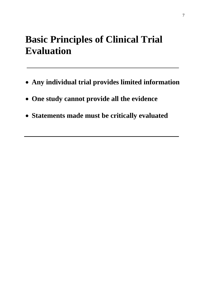# **Basic Principles of Clinical Trial Evaluation**

- **Any individual trial provides limited information**
- **One study cannot provide all the evidence**
- **Statements made must be critically evaluated**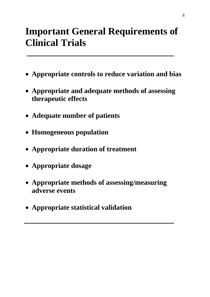# **Important General Requirements of Clinical Trials**

- **Appropriate controls to reduce variation and bias**
- **Appropriate and adequate methods of assessing therapeutic effects**
- **Adequate number of patients**
- **Homogeneous population**
- **Appropriate duration of treatment**
- **Appropriate dosage**
- **Appropriate methods of assessing/measuring adverse events**
- **Appropriate statistical validation**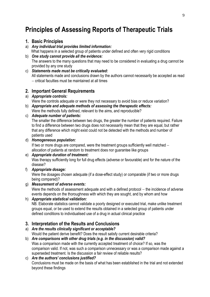# **Principles of Assessing Reports of Therapeutic Trials**

#### **1. Basic Principles**

- a) *Any individual trial provides limited information:*
	- What happens in a selected group of patients under defined and often very rigid conditions
- b) *One study cannot provide all the evidence:* The answers to the many questions that may need to be considered in evaluating a drug cannot be provided by any one study
- c) *Statements made must be critically evaluated:* All statements made and conclusions drawn by the authors cannot necessarily be accepted as read − critical faculties must be maintained at all times

### **2. Important General Requirements**

a) *Appropriate controls:*

Were the controls adequate or were they not necessary to avoid bias or reduce variation?

b) *Appropriate and adequate methods of assessing the therapeutic effects:* Were the methods fully defined, relevant to the aims, and reproducible?

#### c) *Adequate number of patients:*

The smaller the difference between two drugs, the greater the number of patients required. Failure to find a difference between two drugs does not necessarily mean that they are equal, but rather that any difference which might exist could not be detected with the methods and number of patients used

#### d) *Homogeneous population:*

If two or more drugs are compared, were the treatment groups sufficiently well matched − allocation of patients at random to treatment does nor guarantee like groups

#### e) *Appropriate duration of treatment:* Was therapy sufficiently long for full drug effects (adverse or favourable) and for the nature of the disease?

f) *Appropriate dosage:*

Were the dosages chosen adequate (if a dose-effect study) or comparable (if two or more drugs being compared)?

#### g) *Measurement of adverse events:*

Were the methods of assessment adequate and with a defined protocol – the incidence of adverse events depends on the thoroughness with which they are sought, and by whom and how

h) *Appropriate statistical validation:*

NB. Elaborate statistics cannot validate a poorly designed or executed trial, make unlike treatment groups equal, or be used to extend the results obtained in a selected group of patients under defined conditions to individualised use of a drug in actual clinical practice

### **3. Interpretation of the Results and Conclusions**

- a) *Are the results clinically significant or acceptable?* Would the patient derive benefit? Does the result satisfy current desirable criteria?
- b) *Are comparisons with other drug trials (e.g. in the discussion) valid?* Was a comparison made with the currently accepted treatment of choice? If so, was the comparison valid. If not, was such a comparison unnecessary or was a comparison made against a superseded treatment. Is the discussion a fair review of reliable results?

#### c) *Are the authors' conclusions justified?* Conclusions must be made on the basis of what has been established in the trial and not extended beyond these findings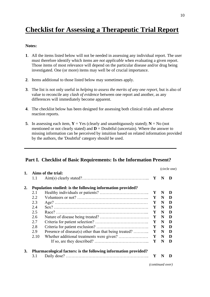# **Checklist for Assessing a Therapeutic Trial Report**

#### **Notes:**

- **1**. All the items listed below will not be needed in assessing any individual report. The user must therefore identify which items are *not applicable* when evaluating a given report. Those items of most relevance will depend on the particular disease and/or drug being investigated. One (or more) items may well be of crucial importance.
- **2**. Items additional to those listed below may sometimes apply.
- **3**. The list is not only useful in *helping to assess the merits of any one report*, but is also of value to reconcile any *clash of evidence* between one report and another, as any differences will immediately become apparent.
- **4**. The checklist below has been designed for assessing both clinical trials and adverse reaction reports.
- **5**. In assessing each item,  $Y = Yes$  (clearly and unambiguously stated);  $N = No$  (not mentioned or not clearly stated) and  $\mathbf{D} =$  Doubtful (uncertain). Where the answer to missing information can be perceived by intuition based on related information provided by the authors, the 'Doubtful' category should be used.

#### **Part I. Checklist of Basic Requirements: Is the Information Present?**

|    |      |                                                                 |              |   | (circle one) |  |
|----|------|-----------------------------------------------------------------|--------------|---|--------------|--|
| 1. | 1.1  | Aims of the trial:                                              | Y            | N | D            |  |
| 2. |      | Population studied: is the following information provided?      |              |   |              |  |
|    | 2.1  |                                                                 | Y            | N | D            |  |
|    | 2.2  |                                                                 | Y            | N | D            |  |
|    | 2.3  |                                                                 | Y            | N | D            |  |
|    | 2.4  |                                                                 | Y            | N | D            |  |
|    | 2.5  |                                                                 | Y            | N | D            |  |
|    | 2.6  |                                                                 | Y            | N | D            |  |
|    | 2.7  |                                                                 | Y            | N | D            |  |
|    | 2.8  |                                                                 | Y            | N | D            |  |
|    | 2.9  | Presence of disease(s) other than that being treated?           | Y            | N | D            |  |
|    | 2.10 |                                                                 | $\mathbf{Y}$ | N | D            |  |
|    |      |                                                                 | Y N          |   | D            |  |
| 3. |      | Pharmacological factors: is the following information provided? |              |   |              |  |
|    | 3.1  |                                                                 |              | N | D            |  |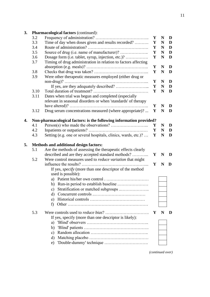| 3. |      | <b>Pharmacological factors (continued):</b>                         |              |             |   |
|----|------|---------------------------------------------------------------------|--------------|-------------|---|
|    | 3.2  |                                                                     | Y            | N           | D |
|    | 3.3  | Time of day when doses given and results recorded?                  | Y            | N           | D |
|    | 3.4  |                                                                     | Y            | N           | D |
|    | 3.5  | Source of drug (i.e. name of manufacturer)?                         | Y            | N           | D |
|    | 3.6  | Dosage form (i.e. tablet, syrup, injection, etc.)?                  | Y            | N           | D |
|    | 3.7  | Timing of drug administration in relation to factors affecting      |              |             |   |
|    |      |                                                                     | Y            | $\mathbf N$ | D |
|    | 3.8  |                                                                     | Y            | N           | D |
|    | 3.9  | Were other therapeutic measures employed (either drug or            |              |             |   |
|    |      |                                                                     | Y            | N           | D |
|    |      |                                                                     | Y            | N           | D |
|    | 3.10 |                                                                     | Y            | N           | D |
|    | 3.11 | Dates when trial was begun and completed (especially                |              |             |   |
|    |      | relevant in seasonal disorders or when 'standards' of therapy       |              |             |   |
|    |      |                                                                     | Y            | N           | D |
|    | 3.12 | Drug serum concentrations measured (where appropriate)?             | Y            | N           | D |
|    |      |                                                                     |              |             |   |
| 4. |      | Non-pharmacological factors: is the following information provided? |              |             |   |
|    | 4.1  |                                                                     | Y            | N           | D |
|    | 4.2  |                                                                     | Y            | N           | D |
|    | 4.3  | Setting (e.g. one or several hospitals, clinics, wards, etc.)?      | Y            | N           | D |
|    |      |                                                                     |              |             |   |
| 5. |      | <b>Methods and additional design factors:</b>                       |              |             |   |
|    | 5.1  | Are the methods of assessing the therapeutic effects clearly        |              |             |   |
|    |      | described and are they accepted standard methods?                   | Y            | $\mathbf N$ | D |
|    | 5.2  | Were control measures used to <i>reduce variation</i> that might    |              |             |   |
|    |      |                                                                     | $\mathbf{Y}$ | N           | D |
|    |      | If yes, <i>specify</i> (more than one descriptor of the method      |              |             |   |
|    |      |                                                                     |              |             |   |
|    |      |                                                                     |              |             |   |
|    |      | used is possible):                                                  |              |             |   |
|    |      |                                                                     |              |             |   |
|    |      |                                                                     |              |             |   |
|    |      | c) Stratification or matched subgroups                              |              |             |   |
|    |      | d)                                                                  |              |             |   |
|    |      | e)                                                                  |              |             |   |
|    |      | f)                                                                  |              |             |   |
|    | 5.3  |                                                                     | Y            | N           | D |
|    |      |                                                                     |              |             |   |
|    |      | If yes, specify (more than one descriptor is likely):<br>a)         |              |             |   |
|    |      |                                                                     |              |             |   |
|    |      | b)                                                                  |              |             |   |
|    |      | c)                                                                  |              |             |   |
|    |      | d)<br>'Double-dummy' technique<br>e)                                |              |             |   |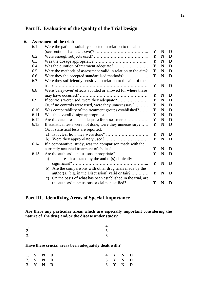#### **Part II. Evaluation of the Quality of the Trial Design**

#### **6. Assessment of the trial:**

| 6.1  | Were the patients suitably selected in relation to the aims       |   |             |             |
|------|-------------------------------------------------------------------|---|-------------|-------------|
|      |                                                                   | Y | N           | D           |
| 6.2  |                                                                   | Y | N           | D           |
| 6.3  |                                                                   | Y | N           | D           |
| 6.4  |                                                                   | Y | N           | D           |
| 6.5  | Were the methods of assessment valid in relation to the aim?      | Y | N           | D           |
| 6.6  | Were they the accepted standardised methods?                      | Y | N           | D           |
| 6.7  | Were they sufficiently sensitive in relation to the aim of the    |   |             |             |
|      |                                                                   | Y | N           | D           |
| 6.8  | Were 'carry-over' effects avoided or allowed for where these      |   |             |             |
|      |                                                                   | Y | N           | D           |
| 6.9  |                                                                   | Y | N           | D           |
|      | Or, if no controls were used, were they unnecessary?              | Y | N           | D           |
| 6.10 | Was comparability of the treatment groups established?            | Y | N           | D           |
| 6.11 |                                                                   | Y | N           | D           |
| 6.12 | Are the data presented adequate for assessment?                   | Y | N           | $\mathbf D$ |
| 6.13 | If statistical tests were not done, were they unnecessary?        | Y | $\mathbf N$ | D           |
|      | Or, if statistical tests are reported:                            |   |             |             |
|      |                                                                   | Y | N           | D           |
|      |                                                                   | Y | N           | D           |
| 6.14 | If a comparative study, was the comparison made with the          |   |             |             |
|      |                                                                   | Y | N           | D           |
| 6.15 |                                                                   | Y | N           | D           |
|      | a) Is the result as stated by the author(s) clinically            |   |             |             |
|      |                                                                   | Y | $\mathbf N$ | D           |
|      | b) Are the comparisons with other drug trials made by the         |   |             |             |
|      | author(s) [e.g. in the Discussion] valid or fair?                 | Y | N           | D           |
|      | On the basis of what has been established in the trial, are<br>c) |   |             |             |
|      | the authors' conclusions or claims justified?                     | Y | N           | D           |

#### **Part III. Identifying Areas of Special Importance**

**Are there any particular areas which are especially important considering the nature of the drug and/or the disease under study?**

| 1.               | 4. |
|------------------|----|
| $\overline{2}$ . | 5. |
| $\overline{3}$ . | 6. |

**Have these crucial areas been adequately dealt with?**

|  | 1. $Y$ N D                   |  | 4. Y N D |  |
|--|------------------------------|--|----------|--|
|  | 2. $Y \tN D$                 |  | 5. Y N D |  |
|  | $3. \quad Y \quad N \quad D$ |  | 6. Y N D |  |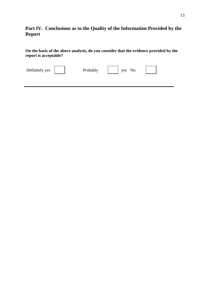### **Part IV. Conclusions as to the Quality of the Information Provided by the Report**

**On the basis of the above analysis, do you consider that the evidence provided by the report is acceptable?**

| Definitely yes | Probably | yes No |  |
|----------------|----------|--------|--|
|                |          |        |  |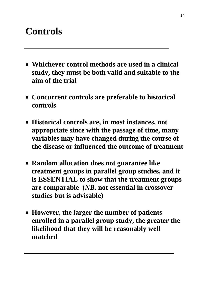# **Controls**

- **Whichever control methods are used in a clinical study, they must be both valid and suitable to the aim of the trial**
- **Concurrent controls are preferable to historical controls**
- **Historical controls are, in most instances, not appropriate since with the passage of time, many variables may have changed during the course of the disease or influenced the outcome of treatment**
- **Random allocation does not guarantee like treatment groups in parallel group studies, and it is ESSENTIAL to show that the treatment groups are comparable (***NB***. not essential in crossover studies but is advisable)**
- **However, the larger the number of patients enrolled in a parallel group study, the greater the likelihood that they will be reasonably well matched**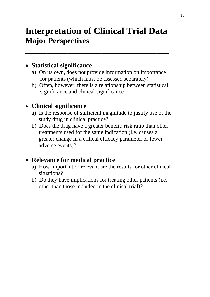# **Interpretation of Clinical Trial Data Major Perspectives**

**\_\_\_\_\_\_\_\_\_\_\_\_\_\_\_\_\_\_\_\_\_\_\_\_\_\_\_\_\_\_\_\_\_\_**

## • **Statistical significance**

- a) On its own, does not provide information on importance for patients (which must be assessed separately)
- b) Often, however, there is a relationship between statistical significance and clinical significance

## • **Clinical significance**

- a) Is the response of sufficient magnitude to justify use of the study drug in clinical practice?
- b) Does the drug have a greater benefit: risk ratio than other treatments used for the same indication (i.e. causes a greater change in a critical efficacy parameter or fewer adverse events)?

## • **Relevance for medical practice**

- a) How important or relevant are the results for other clinical situations?
- b) Do they have implications for treating other patients (i.e. other than those included in the clinical trial)?

**\_\_\_\_\_\_\_\_\_\_\_\_\_\_\_\_\_\_\_\_\_\_\_\_\_\_\_\_\_\_\_\_\_\_**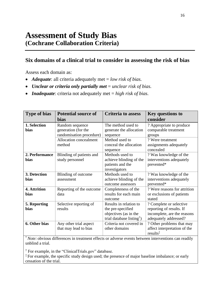## **Six domains of a clinical trial to consider in assessing the risk of bias**

Assess each domain as:

- *Adequate:* all criteria adequately met = *low risk of bias.*
- *Unclear or criteria only partially met* = *unclear risk of bias.*
- *Inadequate*: criteria not adequately met = *high risk of bias.*

| <b>Type of bias</b>         | <b>Potential source of</b><br><b>bias</b>                          | <b>Criteria to assess</b>                                                                                     | <b>Key questions to</b><br>consider                                                                         |
|-----------------------------|--------------------------------------------------------------------|---------------------------------------------------------------------------------------------------------------|-------------------------------------------------------------------------------------------------------------|
| 1. Selection<br>bias        | Random sequence<br>generation (for the<br>randomisation procedure) | The method used to<br>generate the allocation<br>sequence                                                     | ? Appropriate to produce<br>comparable treatment<br>groups                                                  |
|                             | Allocation concealment<br>method                                   | Method used to<br>conceal the allocation<br>sequence                                                          | ? Were treatment<br>assignments adequately<br>concealed                                                     |
| 2. Performance<br>bias      | Blinding of patients and<br>study personnel                        | Methods used to<br>achieve blinding of the<br>patients and the<br>investigators                               | ? Was knowledge of the<br>interventions adequately<br>prevented*                                            |
| 3. Detection<br><b>bias</b> | Blinding of outcome<br>assessment                                  | Methods used to<br>achieve blinding of the<br>outcome assessors                                               | ? Was knowledge of the<br>interventions adequately<br>prevented*                                            |
| 4. Attrition<br><b>bias</b> | Reporting of the outcome<br>data                                   | Completeness of the<br>results for each main<br>outcome                                                       | ? Were reasons for attrition<br>or exclusions of patients<br>stated                                         |
| 5. Reporting<br><b>bias</b> | Selective reporting of<br>results                                  | Results in relation to<br>the pre-specified<br>objectives (as in the<br>trial database listing <sup>†</sup> ) | ? Complete or selective<br>reporting of results. If<br>incomplete, are the reasons<br>adequately addressed? |
| 6. Other bias               | Any other trial aspect<br>that may lead to bias                    | Criteria not covered in<br>other domains                                                                      | ? Other problems that may<br>affect interpretation of the<br>$results^{\ddagger}$                           |

\* *Note:* obvious differences in treatment effects or adverse events between interventions can readily unblind a trial.

† For example, in the "ClinicalTrials.gov" database.

<sup>‡</sup> For example, the specific study design used; the presence of major baseline imbalance; or early cessation of the trial.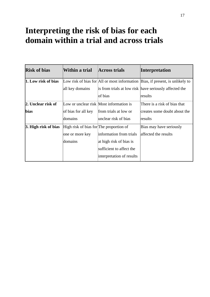# **Interpreting the risk of bias for each domain within a trial and across trials**

| <b>Risk of bias</b>  | Within a trial                          | <b>Across trials</b>                    | <b>Interpretation</b>                                                         |
|----------------------|-----------------------------------------|-----------------------------------------|-------------------------------------------------------------------------------|
| 1. Low risk of bias  |                                         |                                         | Low risk of bias for All or most information Bias, if present, is unlikely to |
|                      | all key domains                         |                                         | is from trials at low risk have seriously affected the                        |
|                      |                                         | of bias                                 | results                                                                       |
| 2. Unclear risk of   |                                         | Low or unclear risk Most information is | There is a risk of bias that                                                  |
| <b>bias</b>          | of bias for all key                     | from trials at low or                   | creates some doubt about the                                                  |
|                      | domains                                 | unclear risk of bias                    | results                                                                       |
| 3. High risk of bias | High risk of bias for The proportion of |                                         | Bias may have seriously                                                       |
|                      | one or more key                         | information from trials                 | affected the results                                                          |
|                      | domains                                 | at high risk of bias is                 |                                                                               |
|                      |                                         | sufficient to affect the                |                                                                               |
|                      |                                         | interpretation of results               |                                                                               |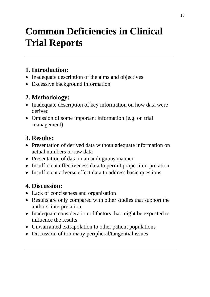# **Common Deficiencies in Clinical Trial Reports**

# **1. Introduction:**

- Inadequate description of the aims and objectives
- Excessive background information

# **2. Methodology:**

- Inadequate description of key information on how data were derived
- Omission of some important information (e.g. on trial) management)

# **3. Results:**

- Presentation of derived data without adequate information on actual numbers or raw data
- Presentation of data in an ambiguous manner
- Insufficient effectiveness data to permit proper interpretation
- Insufficient adverse effect data to address basic questions

## **4. Discussion:**

- Lack of conciseness and organisation
- Results are only compared with other studies that support the authors' interpretation
- Inadequate consideration of factors that might be expected to influence the results
- Unwarranted extrapolation to other patient populations
- Discussion of too many peripheral/tangential issues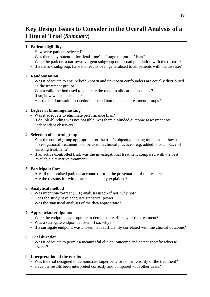## **Key Design Issues to Consider in the Overall Analysis of a Clinical Trial (***Summary***)**

#### **1. Patient eligibility**

- How were patients selected?
- Was there any potential for 'lead-time' or 'stage migration' bias?
- Were the patients a narrow/divergent subgroup or a broad population with the disease?
- If a narrow subgroup, have the results been generalised to all patients with the disease?

#### **2. Randomisation**

- Was it adequate to ensure both known and unknown confounders are equally distributed in the treatment groups?
- Was a valid method used to generate the random allocation sequence?
- If so, how was it concealed?
- Has the randomisation procedure ensured homogeneous treatment groups?

#### **3. Degree of blinding/masking**

- Was it adequate to eliminate performance bias?
- If double-blinding was not possible, was there a blinded outcome assessment by independent observers?

#### **4. Selection of control group**

- Was the control group appropriate for the trial's objective, taking into account how the investigational treatment is to be used in clinical practice  $-$  e.g. added to or in place of existing treatment?
- If an active-controlled trial, was the investigational treatment compared with the best available alternative treatment

#### **5. Participant flow**

- Are all randomised patients accounted for in the presentation of the results?
- Are the reasons for withdrawals adequately explained?

#### **6. Analytical method**

- Was intention-to-treat (ITT) analysis used if not, why not?
- Does the study have adequate statistical power?
- Was the statistical analysis of the data appropriate?

#### **7. Appropriate endpoints**

- Were the endpoints appropriate to demonstrate efficacy of the treatment?
- Was a surrogate endpoint chosen; if so, why?
- If a surrogate endpoint was chosen, is it sufficiently correlated with the clinical outcome?

#### **8. Trial duration**

- Was it adequate to permit a meaningful clinical outcome and detect specific adverse events?

#### **9. Interpretation of the results**

- Was the trial designed to demonstrate superiority or non-inferiority of the treatment?
- Have the results been interpreted correctly and compared with other trials?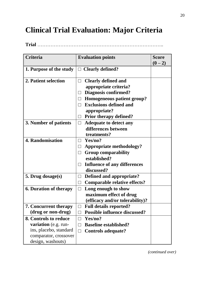# **Clinical Trial Evaluation: Major Criteria**

**Trial** …………………………………………………………………..

| <b>Criteria</b>               | <b>Evaluation points</b>                                              | <b>Score</b><br>$(0-2)$ |
|-------------------------------|-----------------------------------------------------------------------|-------------------------|
| 1. Purpose of the study       | $\Box$ Clearly defined?                                               |                         |
| 2. Patient selection          | <b>Clearly defined and</b><br>$\perp$<br>appropriate criteria?        |                         |
|                               | <b>Diagnosis confirmed?</b>                                           |                         |
|                               | Homogeneous patient group?<br>$\Box$<br><b>Exclusions defined and</b> |                         |
|                               | appropriate?                                                          |                         |
|                               | <b>Prior therapy defined?</b>                                         |                         |
| 3. Number of patients         | <b>Adequate to detect any</b><br>$\Box$                               |                         |
|                               | differences between                                                   |                         |
|                               | treatments?                                                           |                         |
| 4. Randomisation              | Yes/no?                                                               |                         |
|                               | <b>Appropriate methodology?</b><br>$\Box$                             |                         |
|                               | <b>Group comparability</b>                                            |                         |
|                               | established?                                                          |                         |
|                               | <b>Influence of any differences</b><br>$\Box$                         |                         |
|                               | discussed?                                                            |                         |
| 5. Drug dosage(s)             | Defined and appropriate?                                              |                         |
|                               | <b>Comparable relative effects?</b><br>$\perp$                        |                         |
| <b>6. Duration of therapy</b> | Long enough to show<br>$\Box$                                         |                         |
|                               | maximum effect of drug                                                |                         |
|                               | (efficacy and/or tolerability)?                                       |                         |
| 7. Concurrent therapy         | <b>Full details reported?</b><br>$\Box$                               |                         |
| (drug or non-drug)            | <b>Possible influence discussed?</b>                                  |                         |
| 8. Controls to reduce         | Yes/no?<br>П                                                          |                         |
| variation (e.g. run-          | <b>Baseline established?</b><br>П                                     |                         |
| ins, placebo, standard        | <b>Controls adequate?</b><br>$\Box$                                   |                         |
| comparator, crossover         |                                                                       |                         |
| design, washouts)             |                                                                       |                         |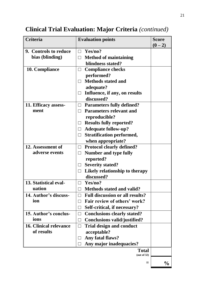| <b>Criteria</b>               | <b>Evaluation points</b>                          | <b>Score</b><br>$(0-2)$ |
|-------------------------------|---------------------------------------------------|-------------------------|
| 9. Controls to reduce         | $\Box$ Yes/no?                                    |                         |
| bias (blinding)               | $\Box$ Method of maintaining                      |                         |
|                               | blindness stated?                                 |                         |
| 10. Compliance                | <b>Compliance checks</b><br>$\Box$                |                         |
|                               | performed?                                        |                         |
|                               | <b>Methods stated and</b>                         |                         |
|                               | adequate?                                         |                         |
|                               | Influence, if any, on results<br>$\Box$           |                         |
|                               | discussed?                                        |                         |
| 11. Efficacy assess-          | $\Box$ Parameters fully defined?                  |                         |
| ment                          | $\Box$ Parameters relevant and                    |                         |
|                               | reproducible?                                     |                         |
|                               | <b>Results fully reported?</b><br>$\Box$          |                         |
|                               | <b>Adequate follow-up?</b><br>$\Box$              |                         |
|                               | <b>Stratification performed,</b><br>$\Box$        |                         |
|                               | when appropriate?                                 |                         |
| 12. Assessment of             | <b>Protocol clearly defined?</b><br>$\Box$        |                         |
| adverse events                | <b>Number and type fully</b><br>$\Box$            |                         |
|                               | reported?                                         |                         |
|                               | <b>Severity stated?</b><br>$\Box$                 |                         |
|                               | Likely relationship to therapy<br>$\Box$          |                         |
|                               | discussed?                                        |                         |
| 13. Statistical eval-         | Yes/no?<br>$\Box$                                 |                         |
| uation                        | <b>Methods stated and valid?</b>                  |                         |
| 14. Author's discuss-         | <b>Full discussion or all results?</b>            |                         |
| ion                           | Fair review of others' work?                      |                         |
|                               | Self-critical, if necessary?<br>$\vert \ \ \vert$ |                         |
| 15. Author's conclus-         | <b>Conclusions clearly stated?</b><br>$\perp$     |                         |
| ions                          | <b>Conclusions valid/justified?</b><br>$\Box$     |                         |
| <b>16. Clinical relevance</b> | <b>Trial design and conduct</b><br>$\perp$        |                         |
| of results                    | acceptable?                                       |                         |
|                               | Any fatal flaws?                                  |                         |
|                               | Any major inadequacies?                           |                         |
|                               | <b>Total</b><br>(out of 32)                       |                         |
|                               |                                                   |                         |
|                               |                                                   | $\frac{0}{0}$           |

# **Clinical Trial Evaluation: Major Criteria** *(continued)*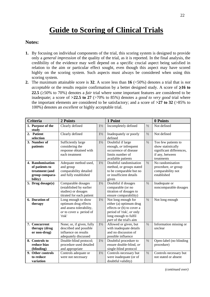# **Guide to Scoring of Clinical Trials**

#### **Notes:**

- **1.** By focusing on individual components of the trial, this scoring system is designed to provide only a *general impression* of the quality of the trial, as it is reported. In the final analysis, the credibility of the evidence may well depend on a specific crucial aspect being satisfied in relation to the aim or particular effect sought, even though this aspect may have scored highly on the scoring system. Such aspects must always be considered when using this scoring system.
- **2.** The maximum attainable score is **32**. A score less than **16** (<50%) denotes a trial that is *not acceptable* or the results require confirmation by a better designed study. A score of  $\geq 16$  to **22.5** ( $\geq$ 50% to 70%) denotes a *fair* trial where some important features are considered to be inadequate; a score of **>22.5 to 27** (>70% to 85%) denotes a *good to very good* trial where the important elements are considered to be satisfactory; and a score of **>27 to 32** (>85% to 100%) denotes an *excellent* or highly acceptable trial.

| <b>Criteria</b>                                                                   | 2 Points                                                                                                     |                | 1 Point                                                                                                                                                      |               | 0 Points                                                                                               |
|-----------------------------------------------------------------------------------|--------------------------------------------------------------------------------------------------------------|----------------|--------------------------------------------------------------------------------------------------------------------------------------------------------------|---------------|--------------------------------------------------------------------------------------------------------|
| 1. Purpose of the<br>study                                                        | Clearly defined                                                                                              | $1\frac{1}{2}$ | Incompletely defined                                                                                                                                         | $1/2$         | Not defined                                                                                            |
| 2. Patient<br>selection                                                           | Clearly defined                                                                                              | $1\frac{1}{2}$ | Inadequately or poorly<br>defined                                                                                                                            | $1/2$         | Not defined                                                                                            |
| 3. Number of<br>patients                                                          | Sufficiently large<br>considering the<br>response obtained with<br>each treatment                            | $1\frac{1}{2}$ | Doubtful if large<br>enough, or infrequent<br>occurrence of disease<br>limits number of<br>available patients                                                | $1/2$         | Too few patients to<br>show statistically<br>significant differences,<br>if any, between<br>treatments |
| 4. Randomisation<br>of patients to<br>treatment (and<br>group compara-<br>bility) | Adequate method used,<br>and group<br>comparability detailed<br>and fully established                        | $1\frac{1}{2}$ | Doubtful randomisation<br>method, or groups stated<br>to be comparable but no<br>or insufficient details<br>given                                            | $\frac{1}{2}$ | No randomisation<br>procedure, or group<br>comparability not<br>established                            |
| 5. Drug dosage(s)                                                                 | Comparable dosages<br>(established by earlier<br>studies) or dosages<br>titrated for each patient            | $1\frac{1}{2}$ | Doubtful if dosages<br>comparable (or no<br>titration of dosages to<br>ensure comparability)                                                                 | $\frac{1}{2}$ | Inadequate or<br>noncomparable dosages                                                                 |
| 6. Duration of<br>therapy                                                         | Long enough to show<br>optimum drug effects<br>and assess tolerability,<br>or to cover a period of<br>'risk' | $1\frac{1}{2}$ | Not long enough for<br>either (a) optimum drug<br>effects or (b) to cover a<br>period of 'risk', or only<br>long enough to fulfil<br>part of the trial's aim | $\frac{1}{2}$ | Not long enough                                                                                        |
| 7. Concurrent<br>therapy (drug<br>or non-drug)                                    | None; or, if given, fully<br>described and possible<br>influence on results<br>adequately discussed          | $1\frac{1}{2}$ | Allowed or given, but<br>with inadequate details<br>and no discussion of<br>possible influence                                                               | $1/2$         | Information missing or<br>unclear                                                                      |
| 8. Controls to<br>reduce bias<br>(blinding)                                       | Double-blind protocol;<br>procedure used detailed<br>and appropriate                                         | $1\frac{1}{2}$ | Doubtful procedure to<br>ensure double-blind, or<br>single-blind protocol                                                                                    | $\frac{1}{2}$ | Open-label (no blinding<br>procedure)                                                                  |
| 9. Other controls<br>to reduce<br>variation                                       | Controls adequate or<br>were not necessary                                                                   | $1\frac{1}{2}$ | Controls necessary but<br>were inadequate (or of<br>doubtful validity)                                                                                       | $\frac{1}{2}$ | Controls necessary but<br>not stated or absent                                                         |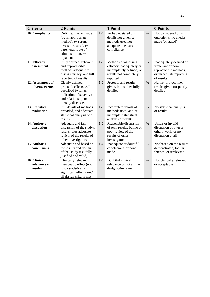| <b>Criteria</b>                         | 2 Points                                                                                                                                           |                | 1 Point                                                                                                            |               | 0 Points                                                                                                        |
|-----------------------------------------|----------------------------------------------------------------------------------------------------------------------------------------------------|----------------|--------------------------------------------------------------------------------------------------------------------|---------------|-----------------------------------------------------------------------------------------------------------------|
| 10. Compliance                          | Definite: checks made<br>(by an appropriate<br>method), or serum<br>levels measured, or<br>parenteral route of<br>administration, or<br>inpatients | $1\frac{1}{2}$ | Probable: stated but<br>details not given or<br>methods used not<br>adequate to ensure<br>compliance               | $\frac{1}{2}$ | Not considered or, if<br>outpatients, no checks<br>made (or stated)                                             |
| 11. Efficacy<br>assessment              | Fully defined, relevant<br>and reproducible<br>methods adequate to<br>assess efficacy, and full<br>reporting of results                            | $1\frac{1}{2}$ | Methods of assessing<br>efficacy inadequately or<br>incompletely defined, or<br>results not completely<br>reported | $\frac{1}{2}$ | Inadequately defined or<br>irrelevant or non-<br>reproducible methods,<br>or inadequate reporting<br>of results |
| 12. Assessment of<br>adverse events     | Clearly defined<br>protocol, effects well<br>described (with an<br>indication of severity),<br>and relationship to<br>therapy discussed            | $1\frac{1}{2}$ | Protocol and results<br>given, but neither fully<br>detailed                                                       | $\frac{1}{2}$ | Neither protocol nor<br>results given (or poorly<br>detailed)                                                   |
| 13. Statistical<br>evaluation           | Full details of methods<br>provided, and adequate<br>statistical analysis of all<br>results                                                        | $1\frac{1}{2}$ | Incomplete details of<br>methods used, and/or<br>incomplete statistical<br>analysis of results                     | $1/2$         | No statistical analysis<br>of results                                                                           |
| 14. Author's<br>discussion              | Adequate and fair<br>discussion of the study's<br>results, plus adequate<br>review of the results of<br>other investigators                        | $1\frac{1}{2}$ | Reasonable discussion<br>of own results, but no or<br>poor review of the<br>results of other<br>investigators      | 1/2           | Unfair or invalid<br>discussion of own or<br>others' work, or no<br>discussion at all                           |
| 15. Author's<br>conclusions             | Adequate and based on<br>the results and design<br>of the study (i.e. fully<br>justified and valid)                                                | $1\frac{1}{2}$ | Inadequate or doubtful<br>conclusions, or none<br>made                                                             | $\frac{1}{2}$ | Not based on the results<br>demonstrated, too far-<br>fetched, or irrelevant                                    |
| 16. Clinical<br>relevance of<br>results | Clinically relevant<br>therapeutic effect (not<br>just a statistically<br>significant effect), and<br>all design criteria met                      | $1\frac{1}{2}$ | Doubtful clinical<br>relevance or not all the<br>design criteria met                                               | $\frac{1}{2}$ | Not clinically relevant<br>or acceptable                                                                        |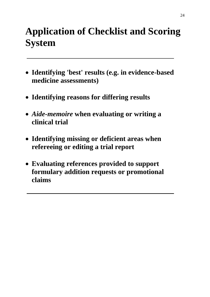# **Application of Checklist and Scoring System**

- **Identifying 'best' results (e.g. in evidence-based medicine assessments)**
- **Identifying reasons for differing results**
- *Aide-memoire* **when evaluating or writing a clinical trial**
- **Identifying missing or deficient areas when refereeing or editing a trial report**
- **Evaluating references provided to support formulary addition requests or promotional claims**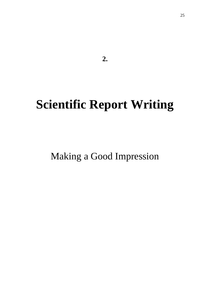**2.**

# **Scientific Report Writing**

Making a Good Impression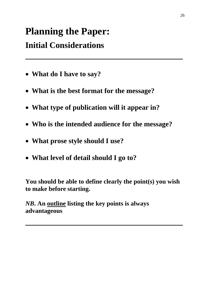# **Planning the Paper:**

# **Initial Considerations**

- **What do I have to say?**
- **What is the best format for the message?**
- **What type of publication will it appear in?**
- **Who is the intended audience for the message?**
- **What prose style should I use?**
- **What level of detail should I go to?**

**You should be able to define clearly the point(s) you wish to make before starting.**

*NB***. An outline listing the key points is always advantageous**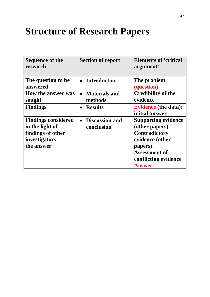# **Structure of Research Papers**

| <b>Sequence of the</b><br>research                                                                 | <b>Section of report</b>                         | <b>Elements of 'critical</b><br>argument'                                                                                                                    |
|----------------------------------------------------------------------------------------------------|--------------------------------------------------|--------------------------------------------------------------------------------------------------------------------------------------------------------------|
| The question to be<br>answered                                                                     | <b>Introduction</b><br>$\bullet$                 | The problem<br>(question)                                                                                                                                    |
| <b>How the answer was</b><br>sought                                                                | <b>Materials and</b><br>$\bullet$<br>methods     | <b>Credibility of the</b><br>evidence                                                                                                                        |
| <b>Findings</b>                                                                                    | <b>Results</b><br>$\bullet$                      | <b>Evidence</b> (the data):<br>initial answer                                                                                                                |
| <b>Findings considered</b><br>in the light of<br>findings of other<br>investigators:<br>the answer | <b>Discussion and</b><br>$\bullet$<br>conclusion | <b>Supporting evidence</b><br>(other papers)<br><b>Contradictory</b><br>evidence (other<br>papers)<br><b>Assessment of</b><br>conflicting evidence<br>Answer |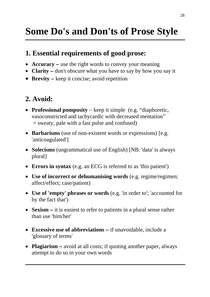# **Some Do's and Don'ts of Prose Style**

# **1. Essential requirements of good prose:**

- **Accuracy** − use the right words to convey your meaning
- **Clarity** − don't obscure what you have to say by how you say it
- **Brevity** − keep it concise; avoid repetition

# **2. Avoid:**

- **Professional pomposity** − keep it simple (e.g. "diaphoretic, vasoconstricted and tachycardic with decreased mentation" = sweaty, pale with a fast pulse and confused)
- **Barbarisms** (use of non-existent words or expressions) [e.g. 'anticoagulated']
- **Solecisms** (ungrammatical use of English) [NB. 'data' is always plural]
- **Errors in syntax** (e.g. an ECG is referred to as 'this patient')
- **Use of incorrect or dehumanising words** (e.g. regime/regimen; affect/effect; case/patient)
- **Use of 'empty' phrases or words** (e.g. 'in order to'; 'accounted for by the fact that')
- **Sexism** − it is easiest to refer to patients in a plural sense rather than use 'him/her'
- **Excessive use of abbreviations** − if unavoidable, include a 'glossary of terms'
- **Plagiarism** − avoid at all costs; if quoting another paper, always attempt to do so in your own words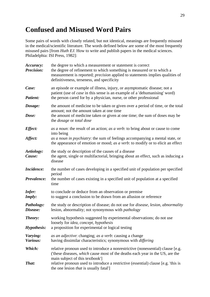# **Confused and Misused Word Pairs**

Some pairs of words with closely related, but not identical, meanings are frequently misused in the medical/scientific literature. The words defined below are some of the most frequently misused pairs [from *Huth EJ*. How to write and publish papers in the medical sciences. Philadelphia: ISI Press, 1982]:

| Accuracy:<br><b>Precision:</b> | the degree to which a measurement or statement is correct<br>the degree of refinement to which something is measured or to which a<br>measurement is reported; <i>precision</i> applied to statements implies qualities of<br>definitiveness, terseness, and specificity                                                                          |
|--------------------------------|---------------------------------------------------------------------------------------------------------------------------------------------------------------------------------------------------------------------------------------------------------------------------------------------------------------------------------------------------|
| Case:<br><b>Patient:</b>       | an episode or example of illness, injury, or asymptomatic disease; not a<br>patient (use of <i>case</i> in this sense is an example of a 'dehumanising' word)<br>the person cared for by a physician, nurse, or other professional                                                                                                                |
| Dosage:<br>Dose:               | the amount of medicine to be taken or given over a period of time, or the total<br>amount; not the amount taken at one time<br>the amount of medicine taken or given at one time; the sum of doses may be<br>the <i>dosage</i> or <i>total dose</i>                                                                                               |
| Effect:<br>Affect:             | as a noun: the result of an action; as a verb: to bring about or cause to come<br>into being<br>as a noun in psychiatry: the sum of feelings accompanying a mental state, or<br>the appearance of emotion or mood; as a verb: to modify or to elicit an effect                                                                                    |
| Aetiology:<br>Cause:           | the study or description of the causes of a disease<br>the agent, single or multifactorial, bringing about an effect, such as inducing a<br>disease                                                                                                                                                                                               |
| Incidence:<br>Prevalence:      | the number of cases developing in a specified unit of population per specified<br>period<br>the number of cases existing in a specified unit of population at a specified<br>time                                                                                                                                                                 |
| Infer:<br>Imply:               | to conclude or deduce from an observation or premise<br>to suggest a conclusion to be drawn from an allusion or reference                                                                                                                                                                                                                         |
| Pathology:<br>Disease:         | the study or description of disease; do not use for <i>disease</i> , <i>lesion</i> , <i>abnormality</i><br>lesion, abnormality; not synonymous with <i>pathology</i>                                                                                                                                                                              |
| Theory:<br><b>Hypothesis:</b>  | working hypothesis suggested by experimental observations; do not use<br>loosely for <i>idea</i> , <i>concept</i> , <i>hypothesis</i><br>a proposition for experimental or logical testing                                                                                                                                                        |
| Varying:<br>Various:           | as an adjective: changing; as a verb: causing a change<br>having dissimilar characteristics; synonymous with <i>differing</i>                                                                                                                                                                                                                     |
| Which:<br>That:                | relative pronoun used to introduce a nonrestrictive (nonessential) clause [e.g.<br>('these diseases, <i>which</i> cause most of the deaths each year in the US, are the<br>main subject of this textbook']<br>relative pronoun used to introduce a restrictive (essential) clause [e.g. 'this is<br>the one lesion <i>that</i> is usually fatal'] |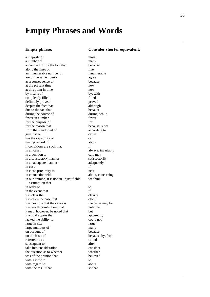# **Empty Phrases and Words**

#### **Empty phrase: Consider shorter equivalent:**

a majority of most a number of many accounted for by the fact that because along the lines of like an innumerable number of innumerable are of the same opinion agree as a consequence of because at the present time now at this point in time now by means of by, with completely filled filled definitely proved proved despite the fact that although due to the fact that because during the course of during, while fewer in number fewer for the purpose of for for the reason that because, since from the standpoint of according to give rise to cause has the capability of can having regard to about if conditions are such that if in all cases always, invariably in a position to can, may in a satisfactory manner satisfactorily in an adequate manner adequately in case if in close proximity to near in connection with about, concerning in our opinion, it is not an unjustifiable we think assumption that in order to to in the event that if it is clear that clearly it is often the case that often it is possible that the cause is the cause may be it is worth pointing out that note that it may, however, be noted that but it would appear that apparently lacked the ability to could not large in size large large large numbers of many on account of because on the basis of because, by, from referred to as called subsequent to after take into consideration consider the question as to whether whether was of the opinion that believed with a view to to with regard to about with the result that so that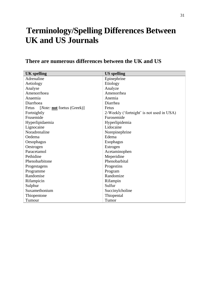# **Terminology/Spelling Differences Between UK and US Journals**

## **There are numerous differences between the UK and US**

| <b>UK</b> spelling                                 | <b>US</b> spelling                        |  |
|----------------------------------------------------|-------------------------------------------|--|
| Adrenaline                                         | Epinephrine                               |  |
| Aetiology                                          | Etiology                                  |  |
| Analyse                                            | Analyze                                   |  |
| Amenorrhoea                                        | Amenorrhea                                |  |
| Anaemia                                            | Anemia                                    |  |
| Diarrhoea                                          | Diarrhea                                  |  |
| [ <i>Note:</i> <b>not</b> foetus (Greek)]<br>Fetus | Fetus                                     |  |
| Fortnightly                                        | 2-Weekly ('fortnight' is not used in USA) |  |
| Frusemide                                          | Furosemide                                |  |
| Hyperlipidaemia                                    | Hyperlipidemia                            |  |
| Lignocaine                                         | Lidocaine                                 |  |
| Noradrenaline                                      | Norepinephrine                            |  |
| Oedema                                             | Edema                                     |  |
| Oesophagus                                         | Esophagus                                 |  |
| Oestrogen                                          | Estrogen                                  |  |
| Paracetamol                                        | Acetaminophen                             |  |
| Pethidine                                          | Meperidine                                |  |
| Phenobarbitone                                     | Phenobarbital                             |  |
| Progestagens                                       | Progestins                                |  |
| Programme                                          | Program                                   |  |
| Randomise                                          | Randomize                                 |  |
| Rifampicin                                         | Rifampin                                  |  |
| Sulphur                                            | Sulfur                                    |  |
| Suxamethonium                                      | Succinylcholine                           |  |
| Thiopentone                                        | Thiopental                                |  |
| Tumour                                             | Tumor                                     |  |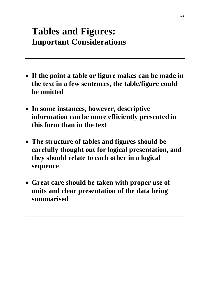# **Tables and Figures: Important Considerations**

- **If the point a table or figure makes can be made in the text in a few sentences, the table/figure could be omitted**
- **In some instances, however, descriptive information can be more efficiently presented in this form than in the text**
- **The structure of tables and figures should be carefully thought out for logical presentation, and they should relate to each other in a logical sequence**
- **Great care should be taken with proper use of units and clear presentation of the data being summarised**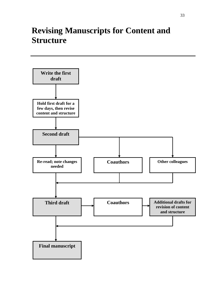# **Revising Manuscripts for Content and Structure**

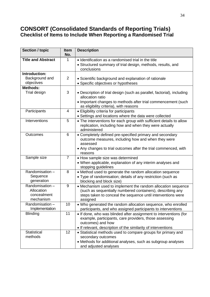### **CONSORT (Consolidated Standards of Reporting Trials) Checklist of Items to Include When Reporting a Randomised Trial**

| <b>Section / topic</b>                                   | <b>Item</b><br>No. | <b>Description</b>                                                                                                                                                                                                |
|----------------------------------------------------------|--------------------|-------------------------------------------------------------------------------------------------------------------------------------------------------------------------------------------------------------------|
| <b>Title and Abstract</b>                                | 1                  | • Identification as a randomised trial in the title<br>• Structured summary of trial design, methods, results, and<br>conclusions                                                                                 |
| Introduction:<br>Background and<br>objectives            | $\overline{2}$     | • Scientific background and explanation of rationale<br>• Specific objectives or hypotheses                                                                                                                       |
| <b>Methods:</b><br>Trial design                          | 3                  | • Description of trial design (such as parallel, factorial), including<br>allocation ratio<br>• Important changes to methods after trial commencement (such<br>as eligibility criteria), with reasons             |
| Participants                                             | 4                  | • Eligibility criteria for participants<br>• Settings and locations where the data were collected                                                                                                                 |
| Interventions                                            | 5                  | • The interventions for each group with sufficient details to allow<br>replication, including how and when they were actually<br>administered                                                                     |
| Outcomes                                                 | 6                  | • Completely defined pre-specified primary and secondary<br>outcome measures, including how and when they were<br>assessed<br>• Any changes to trial outcomes after the trial commenced, with<br>reasons          |
| Sample size                                              | $\overline{7}$     | • How sample size was determined<br>• When applicable, explanation of any interim analyses and<br>stopping guidelines                                                                                             |
| Randomisation-<br>Sequence<br>generation                 | 8                  | • Method used to generate the random allocation sequence<br>• Type of randomisation; details of any restriction (such as<br>blocking and block size)                                                              |
| Randomisation-<br>Allocation<br>concealment<br>mechanism | 9                  | • Mechanism used to implement the random allocation sequence<br>(such as sequentially numbered containers), describing any<br>steps taken to conceal the sequence until interventions were<br>assigned            |
| Randomisation -<br>Implementation                        | 10                 | • Who generated the random allocation sequence, who enrolled<br>participants, and who assigned participants to interventions                                                                                      |
| <b>Blinding</b>                                          | 11                 | • If done, who was blinded after assignment to interventions (for<br>example, participants, care providers, those assessing<br>outcomes) and how<br>. If relevant, description of the similarity of interventions |
| <b>Statistical</b><br>methods                            | 12                 | • Statistical methods used to compare groups for primary and<br>secondary outcomes<br>• Methods for additional analyses, such as subgroup analyses<br>and adjusted analyses                                       |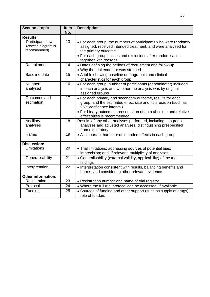| <b>Section / topic</b>                                  | Item<br>No. | <b>Description</b>                                                                                                                                                                                                                                            |
|---------------------------------------------------------|-------------|---------------------------------------------------------------------------------------------------------------------------------------------------------------------------------------------------------------------------------------------------------------|
| <b>Results:</b>                                         |             |                                                                                                                                                                                                                                                               |
| Participant flow<br>(Note: a diagram is<br>recommended) | 13          | • For each group, the numbers of participants who were randomly<br>assigned, received intended treatment, and were analysed for<br>the primary outcome<br>• For each group, losses and exclusions after randomisation,<br>together with reasons               |
| Recruitment                                             | 14          | • Dates defining the periods of recruitment and follow-up<br>. Why the trial ended or was stopped                                                                                                                                                             |
| Baseline data                                           | 15          | • A table showing baseline demographic and clinical<br>characteristics for each group                                                                                                                                                                         |
| <b>Numbers</b><br>analysed                              | 16          | • For each group, number of participants (denominator) included<br>in each analysis and whether the analysis was by original<br>assigned groups                                                                                                               |
| Outcomes and<br>estimation                              | 17          | • For each primary and secondary outcome, results for each<br>group, and the estimated effect size and its precision (such as<br>95% confidence interval)<br>• For binary outcomes, presentation of both absolute and relative<br>effect sizes is recommended |
| Ancillary<br>analyses                                   | 18          | Results of any other analyses performed, including subgroup<br>analyses and adjusted analyses, distinguishing prespecified<br>from exploratory                                                                                                                |
| Harms                                                   | 19          | • All important harms or unintended effects in each group                                                                                                                                                                                                     |
| <b>Discussion:</b><br>Limitations                       | 20          | . Trial limitations; addressing sources of potential bias;<br>imprecision; and, if relevant, multiplicity of analyses                                                                                                                                         |
| Generalisability                                        | 21          | • Generalisability (external validity, applicability) of the trial<br>findings                                                                                                                                                                                |
| Interpretation                                          | 22          | • Interpretation consistent with results, balancing benefits and<br>harms, and considering other relevant evidence                                                                                                                                            |
| <b>Other information:</b>                               |             |                                                                                                                                                                                                                                                               |
| Registration                                            | 23          | • Registration number and name of trial registry                                                                                                                                                                                                              |
| Protocol                                                | 24          | . Where the full trial protocol can be accessed, if available                                                                                                                                                                                                 |
| Funding                                                 | 25          | • Sources of funding and other support (such as supply of drugs),<br>role of funders                                                                                                                                                                          |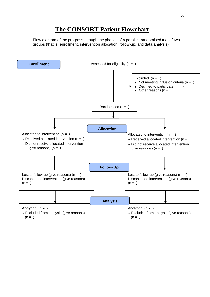## **The CONSORT Patient Flowchart**

Flow diagram of the progress through the phases of a parallel, randomised trial of two groups (that is, enrollment, intervention allocation, follow-up, and data analysis)

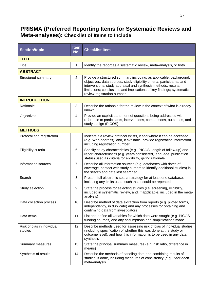## **PRISMA (Preferred Reporting Items for Systematic Reviews and Meta-analyses): Checklist of Items to Include**

| <b>Section/topic</b>                  | <b>Item</b><br>No. | <b>Checklist item</b>                                                                                                                                                                                                                                                                                                  |
|---------------------------------------|--------------------|------------------------------------------------------------------------------------------------------------------------------------------------------------------------------------------------------------------------------------------------------------------------------------------------------------------------|
| <b>TITLE</b>                          |                    |                                                                                                                                                                                                                                                                                                                        |
| <b>Title</b>                          | 1                  | Identify the report as a systematic review, meta-analysis, or both                                                                                                                                                                                                                                                     |
| <b>ABSTRACT</b>                       |                    |                                                                                                                                                                                                                                                                                                                        |
| Structured summary                    | 2                  | Provide a structured summary including, as applicable: background;<br>objectives; data sources; study eligibility criteria, participants, and<br>interventions; study appraisal and synthesis methods; results;<br>limitations; conclusions and implications of key findings; systematic<br>review registration number |
| <b>INTRODUCTION</b>                   |                    |                                                                                                                                                                                                                                                                                                                        |
| Rationale                             | 3                  | Describe the rationale for the review in the context of what is already<br>known                                                                                                                                                                                                                                       |
| Objectives                            | 4                  | Provide an explicit statement of questions being addressed with<br>reference to participants, interventions, comparisons, outcomes, and<br>study design (PICOS)                                                                                                                                                        |
| <b>METHODS</b>                        |                    |                                                                                                                                                                                                                                                                                                                        |
| Protocol and registration             | 5                  | Indicate if a review protocol exists, if and where it can be accessed<br>(e.g. Web address), and, if available, provide registration information<br>including registration number                                                                                                                                      |
| Eligibility criteria                  | 6                  | Specify study characteristics (e.g., PICOS, length of follow-up) and<br>report characteristics (e.g. years considered, language, publication<br>status) used as criteria for eligibility, giving rationale                                                                                                             |
| Information sources                   | $\overline{7}$     | Describe all information sources (e.g. databases with dates of<br>coverage, contact with study authors to identify additional studies) in<br>the search and date last searched                                                                                                                                         |
| Search                                | 8                  | Present full electronic search strategy for at least one database,<br>including any limits used, such that it could be repeated                                                                                                                                                                                        |
| Study selection                       | 9                  | State the process for selecting studies (i.e. screening, eligibility,<br>included in systematic review, and, if applicable, included in the meta-<br>analysis)                                                                                                                                                         |
| Data collection process               | 10                 | Describe method of data extraction from reports (e.g. piloted forms,<br>independently, in duplicate) and any processes for obtaining and<br>confirming data from investigators                                                                                                                                         |
| Data items                            | 11                 | List and define all variables for which data were sought (e.g. PICOS,<br>funding sources) and any assumptions and simplifications made                                                                                                                                                                                 |
| Risk of bias in individual<br>studies | 12 <sup>2</sup>    | Describe methods used for assessing risk of bias of individual studies<br>(including specification of whether this was done at the study or<br>outcome level), and how this information is to be used in any data<br>synthesis                                                                                         |
| Summary measures                      | 13                 | State the principal summary measures (e.g. risk ratio, difference in<br>means)                                                                                                                                                                                                                                         |
| Synthesis of results                  | 14                 | Describe the methods of handling data and combining results of<br>studies, if done, including measures of consistency (e.g. I <sup>2</sup> ) for each<br>meta-analysis                                                                                                                                                 |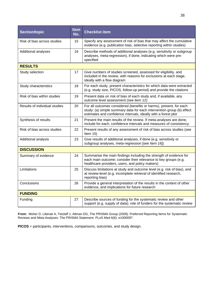| Section/topic                 | <b>Item</b><br>No. | <b>Checklist item</b>                                                                                                                                                                                         |  |  |
|-------------------------------|--------------------|---------------------------------------------------------------------------------------------------------------------------------------------------------------------------------------------------------------|--|--|
| Risk of bias across studies   | 15                 | Specify any assessment of risk of bias that may affect the cumulative<br>evidence (e.g. publication bias, selective reporting within studies)                                                                 |  |  |
| Additional analyses           | 16                 | Describe methods of additional analyses (e.g. sensitivity or subgroup<br>analyses, meta-regression), if done, indicating which were pre-<br>specified                                                         |  |  |
| <b>RESULTS</b>                |                    |                                                                                                                                                                                                               |  |  |
| Study selection               | 17                 | Give numbers of studies screened, assessed for eligibility, and<br>included in the review, with reasons for exclusions at each stage,<br>ideally with a flow diagram                                          |  |  |
| Study characteristics         | 18                 | For each study, present characteristics for which data were extracted<br>(e.g. study size, PICOS, follow-up period) and provide the citations                                                                 |  |  |
| Risk of bias within studies   | 19                 | Present data on risk of bias of each study and, if available, any<br>outcome level assessment (see item 12)                                                                                                   |  |  |
| Results of individual studies | 20                 | For all outcomes considered (benefits or harms), present, for each<br>study: (a) simple summary data for each intervention group (b) effect<br>estimates and confidence intervals, ideally with a forest plot |  |  |
| Synthesis of results          | 21                 | Present the main results of the review. If meta-analyses are done,<br>include for each, confidence intervals and measures of consistency.                                                                     |  |  |
| Risk of bias across studies   | 22                 | Present results of any assessment of risk of bias across studies (see<br>Item $15$ )                                                                                                                          |  |  |
| Additional analysis           | 23                 | Give results of additional analyses, if done (e.g. sensitivity or<br>subgroup analyses, meta-regression [see Item 16])                                                                                        |  |  |
| <b>DISCUSSION</b>             |                    |                                                                                                                                                                                                               |  |  |
| Summary of evidence           | 24                 | Summarise the main findings including the strength of evidence for<br>each main outcome; consider their relevance to key groups (e.g.<br>healthcare providers, users, and policy makers)                      |  |  |
| Limitations                   | 25                 | Discuss limitations at study and outcome level (e.g. risk of bias), and<br>at review-level (e.g. incomplete retrieval of identified research,<br>reporting bias)                                              |  |  |
| Conclusions                   | 26                 | Provide a general interpretation of the results in the context of other<br>evidence, and implications for future research                                                                                     |  |  |
| <b>FUNDING</b>                |                    |                                                                                                                                                                                                               |  |  |
| Funding                       | 27                 | Describe sources of funding for the systematic review and other<br>support (e.g. supply of data); role of funders for the systematic review                                                                   |  |  |

*From:* Moher D, Liberati A, Tetzlaff J, Altman DG, The PRISMA Group (2009). Preferred Reporting Items for Systematic Reviews and Meta-Analyses: The PRISMA Statement. PLoS Med 6(6): e1000097.

**PICOS** = participants, interventions, comparisons, outcomes, and study design.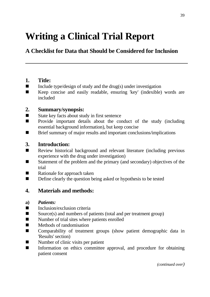# **Writing a Clinical Trial Report**

## **A Checklist for Data that Should be Considered for Inclusion**

### **1. Title:**

- $\blacksquare$  Include type/design of study and the drug(s) under investigation
- Keep concise and easily readable, ensuring 'key' (indexible) words are included

### **2. Summary/synopsis:**

- State key facts about study in first sentence
- Provide important details about the conduct of the study (including essential background information), but keep concise
- Brief summary of major results and important conclusions/implications

### **3. Introduction:**

- Review historical background and relevant literature (including previous experience with the drug under investigation)
- Statement of the problem and the primary (and secondary) objectives of the trial
- Rationale for approach taken
- Define clearly the question being asked or hypothesis to be tested

### **4. Materials and methods:**

#### **a)** *Patients:*

- $\blacksquare$  Inclusion/exclusion criteria
- Source(s) and numbers of patients (total and per treatment group)
- Number of trial sites where patients enrolled
- Methods of randomisation
- Comparability of treatment groups (show patient demographic data in 'Results' section)
- Number of clinic visits per patient
- Information on ethics committee approval, and procedure for obtaining patient consent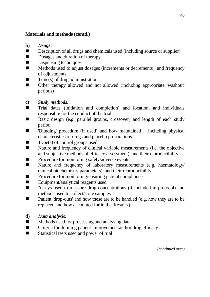### **Materials and methods (contd.)**

- **b)** *Drugs:*
- Description of all drugs and chemicals used (including source or supplier)
- Dosages and duration of therapy
- $\n**Dispensing** techniques\n$
- Methods used to adjust dosages (increments or decrements), and frequency of adjustments
- $\blacksquare$  Time(s) of drug administration
- Other therapy allowed and not allowed (including appropriate 'washout' periods)

### **c)** *Study methods:*

- Trial dates (initiation and completion) and location, and individuals responsible for the conduct of the trial
- Basic design (e.g. parallel groups, crossover) and length of each study period
- 'Blinding' procedure (if used) and how maintained including physical characteristics of drugs and placebo preparations
- $\blacksquare$  Type(s) of control groups used
- Nature and frequency of clinical variable measurements (i.e. the objective and subjective methods of efficacy assessment), and their reproducibility
- Procedure for monitoring safety/adverse events
- Nature and frequency of laboratory measurements (e.g. haematology/ clinical biochemistry parameters), and their reproducibility
- Procedure for monitoring/ensuring patient compliance
- Equipment/analytical reagents used
- Assays used to measure drug concentrations (if included in protocol) and methods used to collect/store samples
- Patient 'drop-outs' and how these are to be handled (e.g. how they are to be replaced and how accounted for in the 'Results')
- **d)** *Data analysis:*
- $\blacksquare$  Methods used for processing and analysing data
- Criteria for defining patient improvement and/or drug efficacy
- Statistical tests used and power of trial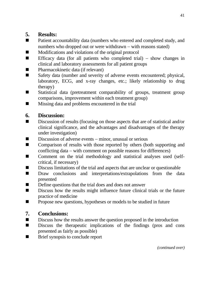### **5. Results:**

- Patient accountability data (numbers who entered and completed study, and numbers who dropped out or were withdrawn – with reasons stated)
- Modifications and violations of the original protocol
- Efficacy data (for all patients who completed trial) show changes in clinical and laboratory assessments for all patient groups
- Pharmacokinetic data (if relevant)
- Safety data (number and severity of adverse events encountered; physical, laboratory, ECG, and x-ray changes, etc.; likely relationship to drug therapy)
- Statistical data (pretreatment comparability of groups, treatment group comparisons, improvement within each treatment group)
- Missing data and problems encountered in the trial

## **6. Discussion:**

- Discussion of results (focusing on those aspects that are of statistical and/or clinical significance, and the advantages and disadvantages of the therapy under investigation)
- Discussion of adverse events minor, unusual or serious
- Comparison of results with those reported by others (both supporting and conflicting data − with comment on possible reasons for differences)
- Comment on the trial methodology and statistical analyses used (selfcritical, if necessary)
- Discuss limitations of the trial and aspects that are unclear or questionable
- Draw conclusions and interpretations/extrapolations from the data presented
- Define questions that the trial does and does not answer
- Discuss how the results might influence future clinical trials or the future practice of medicine
- Propose new questions, hypotheses or models to be studied in future

## **7. Conclusions:**

- Discuss how the results answer the question proposed in the introduction
- Discuss the therapeutic implications of the findings (pros and cons presented as fairly as possible)
- Brief synopsis to conclude report